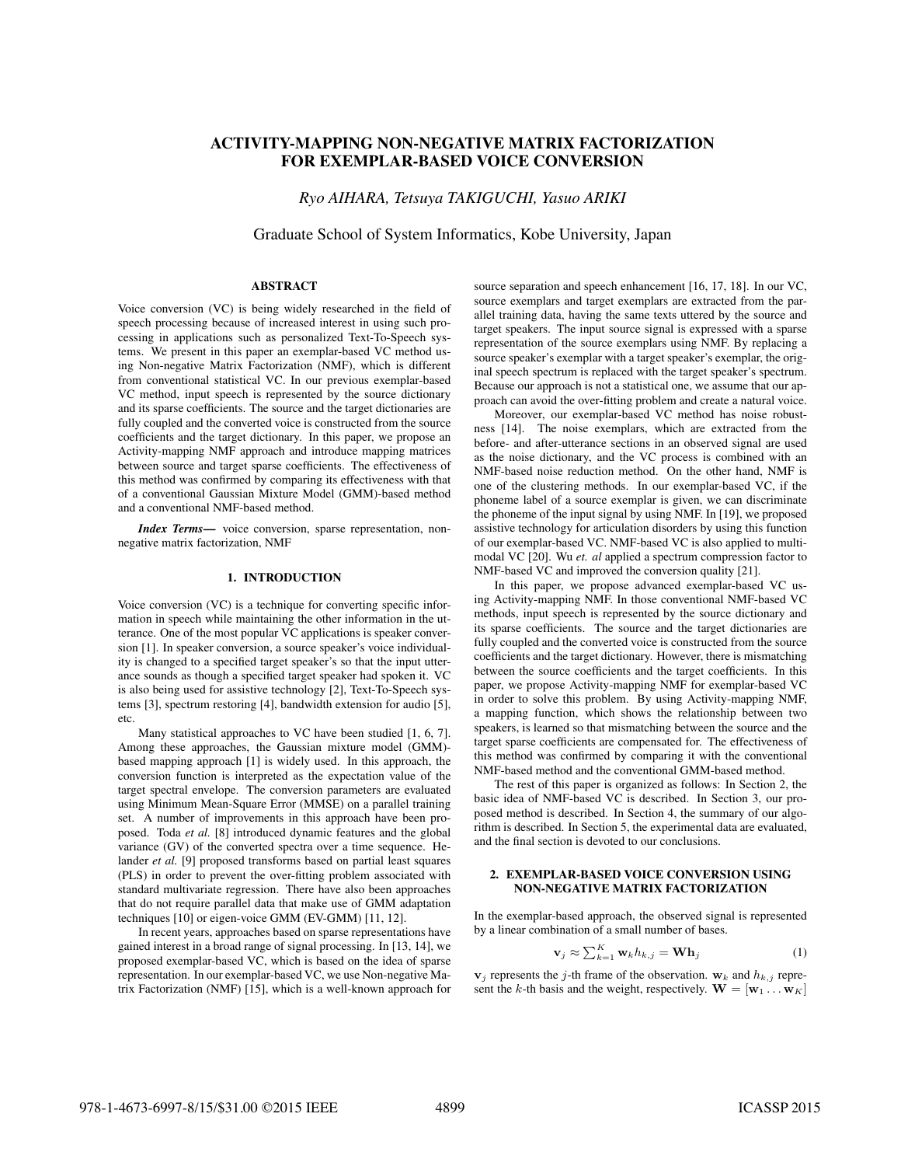# ACTIVITY-MAPPING NON-NEGATIVE MATRIX FACTORIZATION FOR EXEMPLAR-BASED VOICE CONVERSION

*Ryo AIHARA, Tetsuya TAKIGUCHI, Yasuo ARIKI*

Graduate School of System Informatics, Kobe University, Japan

## ABSTRACT

Voice conversion (VC) is being widely researched in the field of speech processing because of increased interest in using such processing in applications such as personalized Text-To-Speech systems. We present in this paper an exemplar-based VC method using Non-negative Matrix Factorization (NMF), which is different from conventional statistical VC. In our previous exemplar-based VC method, input speech is represented by the source dictionary and its sparse coefficients. The source and the target dictionaries are fully coupled and the converted voice is constructed from the source coefficients and the target dictionary. In this paper, we propose an Activity-mapping NMF approach and introduce mapping matrices between source and target sparse coefficients. The effectiveness of this method was confirmed by comparing its effectiveness with that of a conventional Gaussian Mixture Model (GMM)-based method and a conventional NMF-based method.

*Index Terms*— voice conversion, sparse representation, nonnegative matrix factorization, NMF

#### 1. INTRODUCTION

Voice conversion (VC) is a technique for converting specific information in speech while maintaining the other information in the utterance. One of the most popular VC applications is speaker conversion [1]. In speaker conversion, a source speaker's voice individuality is changed to a specified target speaker's so that the input utterance sounds as though a specified target speaker had spoken it. VC is also being used for assistive technology [2], Text-To-Speech systems [3], spectrum restoring [4], bandwidth extension for audio [5], etc.

Many statistical approaches to VC have been studied [1, 6, 7]. Among these approaches, the Gaussian mixture model (GMM) based mapping approach [1] is widely used. In this approach, the conversion function is interpreted as the expectation value of the target spectral envelope. The conversion parameters are evaluated using Minimum Mean-Square Error (MMSE) on a parallel training set. A number of improvements in this approach have been proposed. Toda *et al.* [8] introduced dynamic features and the global variance (GV) of the converted spectra over a time sequence. Helander *et al.* [9] proposed transforms based on partial least squares (PLS) in order to prevent the over-fitting problem associated with standard multivariate regression. There have also been approaches that do not require parallel data that make use of GMM adaptation techniques [10] or eigen-voice GMM (EV-GMM) [11, 12].

In recent years, approaches based on sparse representations have gained interest in a broad range of signal processing. In [13, 14], we proposed exemplar-based VC, which is based on the idea of sparse representation. In our exemplar-based VC, we use Non-negative Matrix Factorization (NMF) [15], which is a well-known approach for

source separation and speech enhancement [16, 17, 18]. In our VC, source exemplars and target exemplars are extracted from the parallel training data, having the same texts uttered by the source and target speakers. The input source signal is expressed with a sparse representation of the source exemplars using NMF. By replacing a source speaker's exemplar with a target speaker's exemplar, the original speech spectrum is replaced with the target speaker's spectrum. Because our approach is not a statistical one, we assume that our approach can avoid the over-fitting problem and create a natural voice.

Moreover, our exemplar-based VC method has noise robustness [14]. The noise exemplars, which are extracted from the before- and after-utterance sections in an observed signal are used as the noise dictionary, and the VC process is combined with an NMF-based noise reduction method. On the other hand, NMF is one of the clustering methods. In our exemplar-based VC, if the phoneme label of a source exemplar is given, we can discriminate the phoneme of the input signal by using NMF. In [19], we proposed assistive technology for articulation disorders by using this function of our exemplar-based VC. NMF-based VC is also applied to multimodal VC [20]. Wu *et. al* applied a spectrum compression factor to NMF-based VC and improved the conversion quality [21].

In this paper, we propose advanced exemplar-based VC using Activity-mapping NMF. In those conventional NMF-based VC methods, input speech is represented by the source dictionary and its sparse coefficients. The source and the target dictionaries are fully coupled and the converted voice is constructed from the source coefficients and the target dictionary. However, there is mismatching between the source coefficients and the target coefficients. In this paper, we propose Activity-mapping NMF for exemplar-based VC in order to solve this problem. By using Activity-mapping NMF, a mapping function, which shows the relationship between two speakers, is learned so that mismatching between the source and the target sparse coefficients are compensated for. The effectiveness of this method was confirmed by comparing it with the conventional NMF-based method and the conventional GMM-based method.

The rest of this paper is organized as follows: In Section 2, the basic idea of NMF-based VC is described. In Section 3, our proposed method is described. In Section 4, the summary of our algorithm is described. In Section 5, the experimental data are evaluated, and the final section is devoted to our conclusions.

## 2. EXEMPLAR-BASED VOICE CONVERSION USING NON-NEGATIVE MATRIX FACTORIZATION

In the exemplar-based approach, the observed signal is represented by a linear combination of a small number of bases.

$$
\mathbf{v}_j \approx \sum_{k=1}^K \mathbf{w}_k h_{k,j} = \mathbf{W} \mathbf{h}_j \tag{1}
$$

 $\mathbf{v}_i$  represents the *j*-th frame of the observation.  $\mathbf{w}_k$  and  $h_{k,i}$  represent the *k*-th basis and the weight, respectively.  $\mathbf{W} = [\mathbf{w}_1 \dots \mathbf{w}_K]$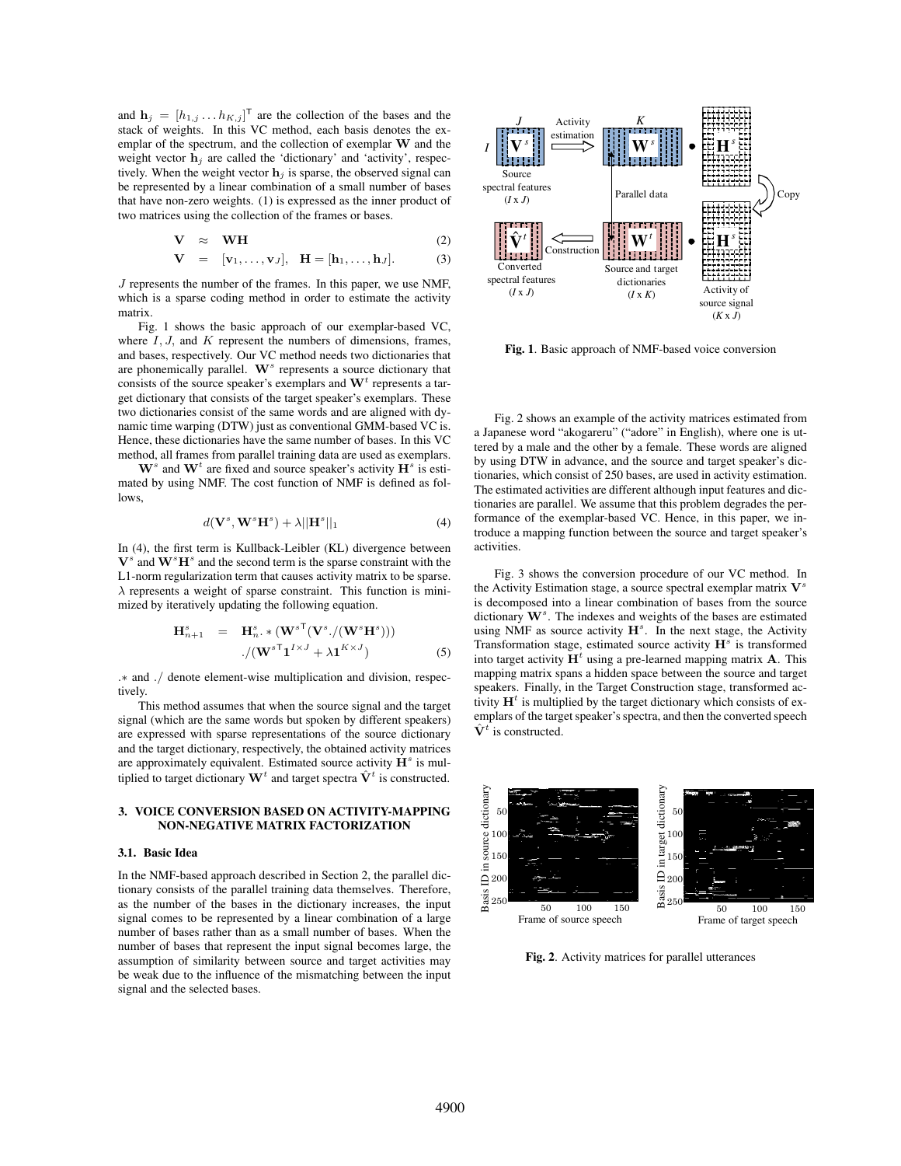and  $\mathbf{h}_j = [h_{1,j} \dots h_{K,j}]^\mathsf{T}$  are the collection of the bases and the stack of weights. In this VC method, each basis denotes the exemplar of the spectrum, and the collection of exemplar **W** and the weight vector  $\mathbf{h}_j$  are called the 'dictionary' and 'activity', respectively. When the weight vector  $\mathbf{h}_j$  is sparse, the observed signal can be represented by a linear combination of a small number of bases that have non-zero weights. (1) is expressed as the inner product of two matrices using the collection of the frames or bases.

$$
\mathbf{V} \approx \mathbf{WH}
$$
\n
$$
\mathbf{V} = [\mathbf{v}_1, \dots, \mathbf{v}_J], \quad \mathbf{H} = [\mathbf{h}_1, \dots, \mathbf{h}_J].
$$
\n(2)

*J* represents the number of the frames. In this paper, we use NMF, which is a sparse coding method in order to estimate the activity matrix.

Fig. 1 shows the basic approach of our exemplar-based VC, where *I, J,* and *K* represent the numbers of dimensions, frames, and bases, respectively. Our VC method needs two dictionaries that are phonemically parallel. **W***<sup>s</sup>* represents a source dictionary that consists of the source speaker's exemplars and **W***<sup>t</sup>* represents a target dictionary that consists of the target speaker's exemplars. These two dictionaries consist of the same words and are aligned with dynamic time warping (DTW) just as conventional GMM-based VC is. Hence, these dictionaries have the same number of bases. In this VC method, all frames from parallel training data are used as exemplars.

 $W^s$  and  $W^t$  are fixed and source speaker's activity  $H^s$  is estimated by using NMF. The cost function of NMF is defined as follows,

$$
d(\mathbf{V}^s, \mathbf{W}^s \mathbf{H}^s) + \lambda ||\mathbf{H}^s||_1 \tag{4}
$$

In (4), the first term is Kullback-Leibler (KL) divergence between  $V^s$  and  $W^sH^s$  and the second term is the sparse constraint with the L1-norm regularization term that causes activity matrix to be sparse. *λ* represents a weight of sparse constraint. This function is minimized by iteratively updating the following equation.

$$
\mathbf{H}_{n+1}^{s} = \mathbf{H}_{n}^{s} \cdot \mathbf{*} (\mathbf{W}^{s} (\mathbf{V}^{s}) / (\mathbf{W}^{s} \mathbf{H}^{s})))
$$

$$
\cdot / (\mathbf{W}^{s} \mathbf{I}^{1 \times J} + \lambda \mathbf{1}^{K \times J})
$$
(5)

*.∗* and *./* denote element-wise multiplication and division, respectively.

This method assumes that when the source signal and the target signal (which are the same words but spoken by different speakers) are expressed with sparse representations of the source dictionary and the target dictionary, respectively, the obtained activity matrices are approximately equivalent. Estimated source activity **H***<sup>s</sup>* is multiplied to target dictionary  $\mathbf{W}^t$  and target spectra  $\hat{\mathbf{V}}^t$  is constructed.

## 3. VOICE CONVERSION BASED ON ACTIVITY-MAPPING NON-NEGATIVE MATRIX FACTORIZATION

## 3.1. Basic Idea

In the NMF-based approach described in Section 2, the parallel dictionary consists of the parallel training data themselves. Therefore, as the number of the bases in the dictionary increases, the input signal comes to be represented by a linear combination of a large number of bases rather than as a small number of bases. When the number of bases that represent the input signal becomes large, the assumption of similarity between source and target activities may be weak due to the influence of the mismatching between the input signal and the selected bases.



Fig. 1. Basic approach of NMF-based voice conversion

Fig. 2 shows an example of the activity matrices estimated from a Japanese word "akogareru" ("adore" in English), where one is uttered by a male and the other by a female. These words are aligned by using DTW in advance, and the source and target speaker's dictionaries, which consist of 250 bases, are used in activity estimation. The estimated activities are different although input features and dictionaries are parallel. We assume that this problem degrades the performance of the exemplar-based VC. Hence, in this paper, we introduce a mapping function between the source and target speaker's activities.

Fig. 3 shows the conversion procedure of our VC method. In the Activity Estimation stage, a source spectral exemplar matrix **V***<sup>s</sup>* is decomposed into a linear combination of bases from the source dictionary **W***<sup>s</sup>* . The indexes and weights of the bases are estimated using NMF as source activity  $H^s$ . In the next stage, the Activity Transformation stage, estimated source activity **H***<sup>s</sup>* is transformed into target activity  $H^t$  using a pre-learned mapping matrix **A**. This mapping matrix spans a hidden space between the source and target speakers. Finally, in the Target Construction stage, transformed activity  $H<sup>t</sup>$  is multiplied by the target dictionary which consists of exemplars of the target speaker's spectra, and then the converted speech  $\hat{\mathbf{V}}^t$  is constructed.



Fig. 2. Activity matrices for parallel utterances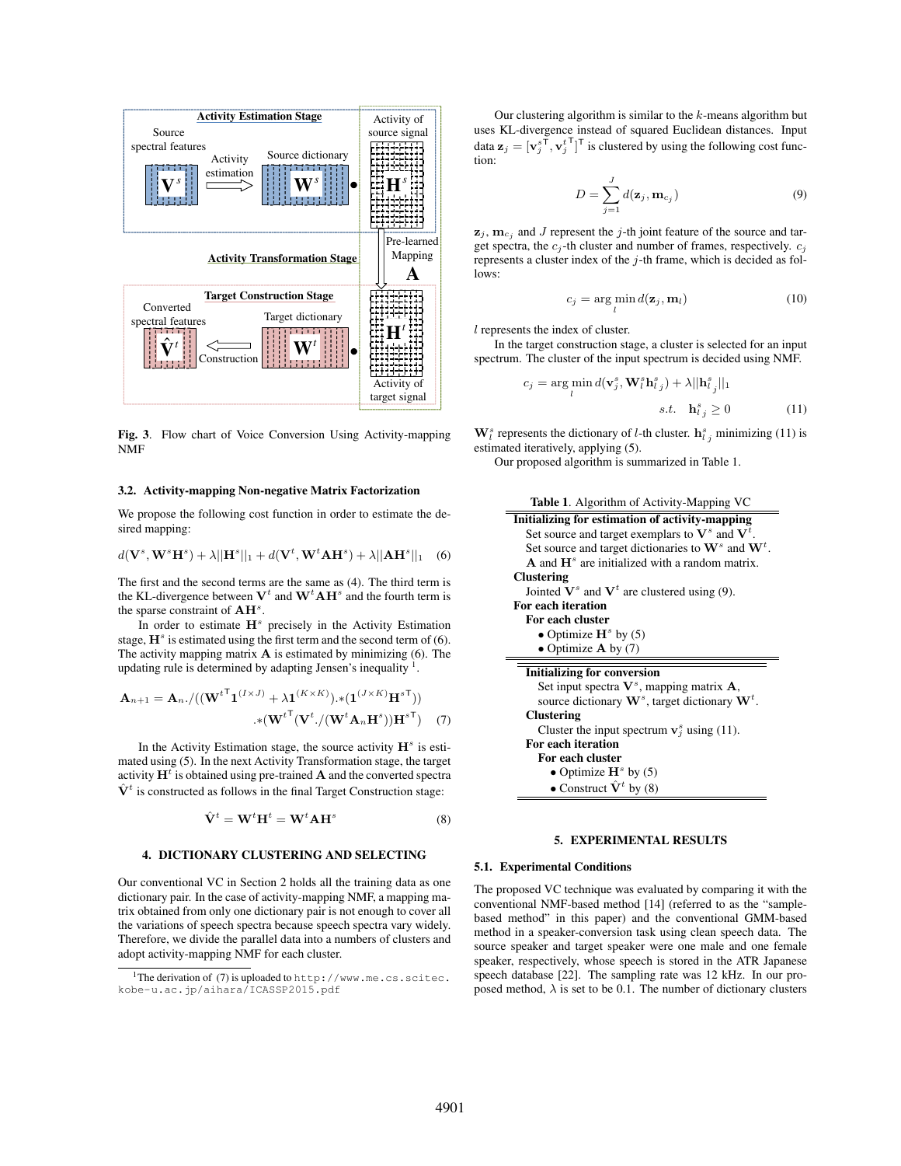

Fig. 3. Flow chart of Voice Conversion Using Activity-mapping NMF

## 3.2. Activity-mapping Non-negative Matrix Factorization

We propose the following cost function in order to estimate the desired mapping:

$$
d(\mathbf{V}^s, \mathbf{W}^s \mathbf{H}^s) + \lambda ||\mathbf{H}^s||_1 + d(\mathbf{V}^t, \mathbf{W}^t \mathbf{A} \mathbf{H}^s) + \lambda ||\mathbf{A} \mathbf{H}^s||_1 \quad (6)
$$

The first and the second terms are the same as (4). The third term is the KL-divergence between  $V^t$  and  $W^t A H^s$  and the fourth term is the sparse constraint of **AH***<sup>s</sup>* .

In order to estimate **H***<sup>s</sup>* precisely in the Activity Estimation stage,  $H^s$  is estimated using the first term and the second term of (6). The activity mapping matrix **A** is estimated by minimizing (6). The updating rule is determined by adapting Jensen's inequality  $<sup>1</sup>$ .</sup>

$$
\mathbf{A}_{n+1} = \mathbf{A}_n \cdot / ((\mathbf{W}^{t^{\mathsf{T}}}\mathbf{1}^{(I \times J)} + \lambda \mathbf{1}^{(K \times K)}) \cdot * (\mathbf{1}^{(J \times K)}\mathbf{H}^{s^{\mathsf{T}}}))
$$

$$
* (\mathbf{W}^{t^{\mathsf{T}}}(\mathbf{V}^{t}) / (\mathbf{W}^{t}\mathbf{A}_n\mathbf{H}^{s}))\mathbf{H}^{s^{\mathsf{T}}}) \tag{7}
$$

In the Activity Estimation stage, the source activity  $\mathbf{H}^s$  is estimated using (5). In the next Activity Transformation stage, the target activity **H***<sup>t</sup>* is obtained using pre-trained **A** and the converted spectra  $\hat{\mathbf{V}}^t$  is constructed as follows in the final Target Construction stage:

$$
\hat{\mathbf{V}}^t = \mathbf{W}^t \mathbf{H}^t = \mathbf{W}^t \mathbf{A} \mathbf{H}^s \tag{8}
$$

### 4. DICTIONARY CLUSTERING AND SELECTING

Our conventional VC in Section 2 holds all the training data as one dictionary pair. In the case of activity-mapping NMF, a mapping matrix obtained from only one dictionary pair is not enough to cover all the variations of speech spectra because speech spectra vary widely. Therefore, we divide the parallel data into a numbers of clusters and adopt activity-mapping NMF for each cluster.

Our clustering algorithm is similar to the *k*-means algorithm but uses KL-divergence instead of squared Euclidean distances. Input data  $\mathbf{z}_j = [\mathbf{v}_j^s^\mathsf{T}, \mathbf{v}_j^t]^\mathsf{T}$  is clustered by using the following cost function:

$$
D = \sum_{j=1}^{J} d(\mathbf{z}_j, \mathbf{m}_{c_j})
$$
\n(9)

 $\mathbf{z}_j$ ,  $\mathbf{m}_{c_j}$  and *J* represent the *j*-th joint feature of the source and target spectra, the  $c_j$ -th cluster and number of frames, respectively.  $c_j$ represents a cluster index of the *j*-th frame, which is decided as follows:

$$
c_j = \arg\min_l d(\mathbf{z}_j, \mathbf{m}_l)
$$
 (10)

*l* represents the index of cluster.

 $\equiv$ 

÷.

In the target construction stage, a cluster is selected for an input spectrum. The cluster of the input spectrum is decided using NMF.

$$
c_j = \arg\min_l d(\mathbf{v}_j^s, \mathbf{W}_l^s \mathbf{h}_{l,j}^s) + \lambda ||\mathbf{h}_{l,j}^s||_1
$$
  
s.t. 
$$
\mathbf{h}_{l,j}^s \ge 0
$$
 (11)

 $\mathbf{W}_l^s$  represents the dictionary of *l*-th cluster.  $\mathbf{h}_{l,j}^s$  minimizing (11) is estimated iteratively, applying (5).

Our proposed algorithm is summarized in Table 1.

| Table 1. Algorithm of Activity-Mapping VC                                 |
|---------------------------------------------------------------------------|
| Initializing for estimation of activity-mapping                           |
| Set source and target exemplars to $V^s$ and $V^t$ .                      |
| Set source and target dictionaries to $W^s$ and $W^t$ .                   |
| $\bf{A}$ and $\bf{H}^s$ are initialized with a random matrix.             |
| <b>Clustering</b>                                                         |
| Jointed $V^s$ and $V^t$ are clustered using (9).                          |
| For each iteration                                                        |
| For each cluster                                                          |
| • Optimize $H^s$ by (5)                                                   |
| • Optimize $\bf{A}$ by (7)                                                |
| <b>Initializing for conversion</b>                                        |
| Set input spectra $V^s$ , mapping matrix $A$ ,                            |
| source dictionary $\mathbf{W}^{s}$ , target dictionary $\mathbf{W}^{t}$ . |
| <b>Clustering</b>                                                         |
| Cluster the input spectrum $v_i^s$ using (11).                            |
| For each iteration                                                        |
| For each cluster                                                          |
| • Optimize $\mathbf{H}^s$ by (5)                                          |
| • Construct $\hat{\mathbf{V}}^t$ by (8)                                   |

## 5. EXPERIMENTAL RESULTS

## 5.1. Experimental Conditions

The proposed VC technique was evaluated by comparing it with the conventional NMF-based method [14] (referred to as the "samplebased method" in this paper) and the conventional GMM-based method in a speaker-conversion task using clean speech data. The source speaker and target speaker were one male and one female speaker, respectively, whose speech is stored in the ATR Japanese speech database [22]. The sampling rate was 12 kHz. In our proposed method,  $\lambda$  is set to be 0.1. The number of dictionary clusters

<sup>&</sup>lt;sup>1</sup>The derivation of (7) is uploaded to http://www.me.cs.scitec. kobe-u.ac.jp/aihara/ICASSP2015.pdf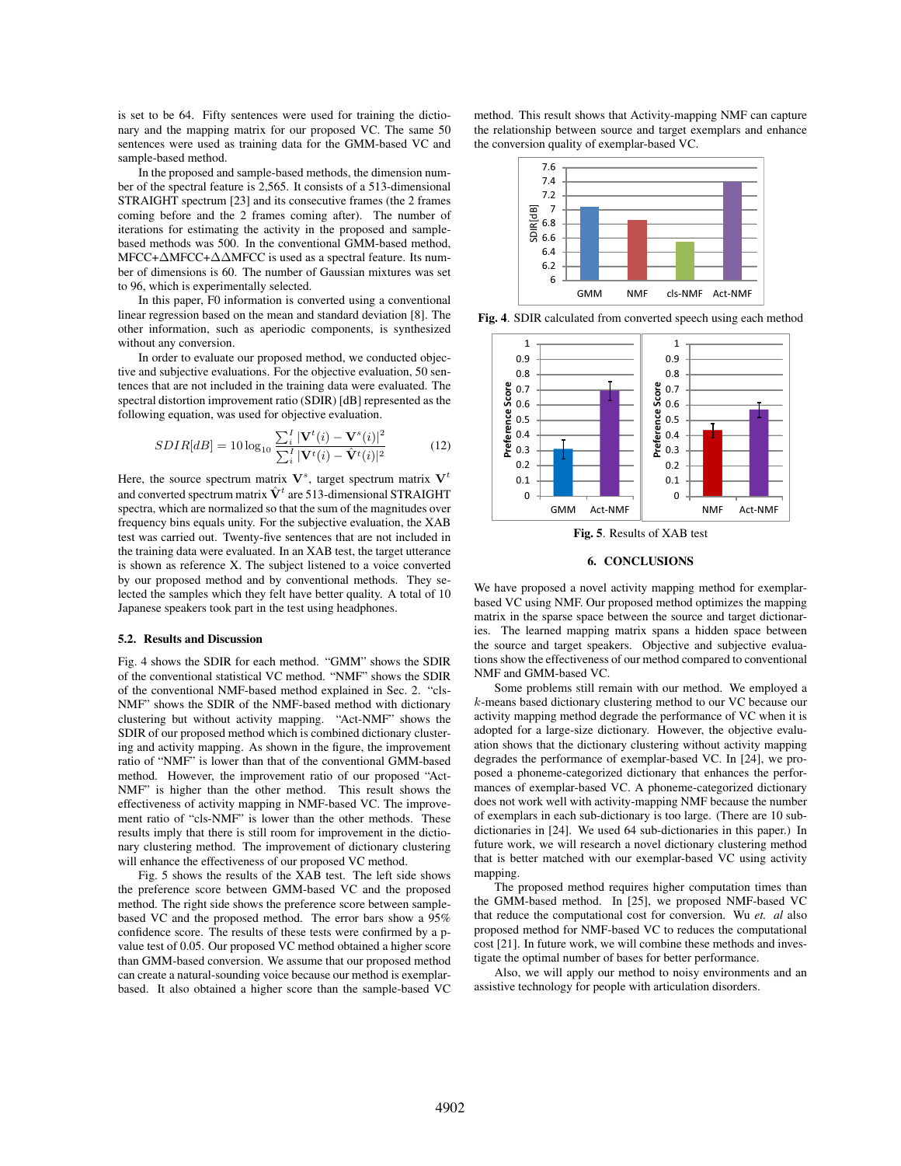is set to be 64. Fifty sentences were used for training the dictionary and the mapping matrix for our proposed VC. The same 50 sentences were used as training data for the GMM-based VC and sample-based method.

In the proposed and sample-based methods, the dimension number of the spectral feature is 2,565. It consists of a 513-dimensional STRAIGHT spectrum [23] and its consecutive frames (the 2 frames coming before and the 2 frames coming after). The number of iterations for estimating the activity in the proposed and samplebased methods was 500. In the conventional GMM-based method, MFCC+∆MFCC+∆∆MFCC is used as a spectral feature. Its number of dimensions is 60. The number of Gaussian mixtures was set to 96, which is experimentally selected.

In this paper, F0 information is converted using a conventional linear regression based on the mean and standard deviation [8]. The other information, such as aperiodic components, is synthesized without any conversion.

In order to evaluate our proposed method, we conducted objective and subjective evaluations. For the objective evaluation, 50 sentences that are not included in the training data were evaluated. The spectral distortion improvement ratio (SDIR) [dB] represented as the following equation, was used for objective evaluation.

$$
SDIR[dB] = 10 \log_{10} \frac{\sum_{i}^{I} |\mathbf{V}^{t}(i) - \mathbf{V}^{s}(i)|^{2}}{\sum_{i}^{I} |\mathbf{V}^{t}(i) - \hat{\mathbf{V}}^{t}(i)|^{2}}
$$
(12)

Here, the source spectrum matrix  $V^s$ , target spectrum matrix  $V^t$ and converted spectrum matrix  $\hat{\mathbf{V}}^t$  are 513-dimensional STRAIGHT spectra, which are normalized so that the sum of the magnitudes over frequency bins equals unity. For the subjective evaluation, the XAB test was carried out. Twenty-five sentences that are not included in the training data were evaluated. In an XAB test, the target utterance is shown as reference X. The subject listened to a voice converted by our proposed method and by conventional methods. They selected the samples which they felt have better quality. A total of 10 Japanese speakers took part in the test using headphones.

#### 5.2. Results and Discussion

Fig. 4 shows the SDIR for each method. "GMM" shows the SDIR of the conventional statistical VC method. "NMF" shows the SDIR of the conventional NMF-based method explained in Sec. 2. "cls-NMF" shows the SDIR of the NMF-based method with dictionary clustering but without activity mapping. "Act-NMF" shows the SDIR of our proposed method which is combined dictionary clustering and activity mapping. As shown in the figure, the improvement ratio of "NMF" is lower than that of the conventional GMM-based method. However, the improvement ratio of our proposed "Act-NMF" is higher than the other method. This result shows the effectiveness of activity mapping in NMF-based VC. The improvement ratio of "cls-NMF" is lower than the other methods. These results imply that there is still room for improvement in the dictionary clustering method. The improvement of dictionary clustering will enhance the effectiveness of our proposed VC method.

Fig. 5 shows the results of the XAB test. The left side shows the preference score between GMM-based VC and the proposed method. The right side shows the preference score between samplebased VC and the proposed method. The error bars show a 95% confidence score. The results of these tests were confirmed by a pvalue test of 0.05. Our proposed VC method obtained a higher score than GMM-based conversion. We assume that our proposed method can create a natural-sounding voice because our method is exemplarbased. It also obtained a higher score than the sample-based VC method. This result shows that Activity-mapping NMF can capture the relationship between source and target exemplars and enhance the conversion quality of exemplar-based VC.



Fig. 4. SDIR calculated from converted speech using each method



Fig. 5. Results of XAB test

## 6. CONCLUSIONS

We have proposed a novel activity mapping method for exemplarbased VC using NMF. Our proposed method optimizes the mapping matrix in the sparse space between the source and target dictionaries. The learned mapping matrix spans a hidden space between the source and target speakers. Objective and subjective evaluations show the effectiveness of our method compared to conventional NMF and GMM-based VC.

Some problems still remain with our method. We employed a *k*-means based dictionary clustering method to our VC because our activity mapping method degrade the performance of VC when it is adopted for a large-size dictionary. However, the objective evaluation shows that the dictionary clustering without activity mapping degrades the performance of exemplar-based VC. In [24], we proposed a phoneme-categorized dictionary that enhances the performances of exemplar-based VC. A phoneme-categorized dictionary does not work well with activity-mapping NMF because the number of exemplars in each sub-dictionary is too large. (There are 10 subdictionaries in [24]. We used 64 sub-dictionaries in this paper.) In future work, we will research a novel dictionary clustering method that is better matched with our exemplar-based VC using activity mapping.

The proposed method requires higher computation times than the GMM-based method. In [25], we proposed NMF-based VC that reduce the computational cost for conversion. Wu *et. al* also proposed method for NMF-based VC to reduces the computational cost [21]. In future work, we will combine these methods and investigate the optimal number of bases for better performance.

Also, we will apply our method to noisy environments and an assistive technology for people with articulation disorders.